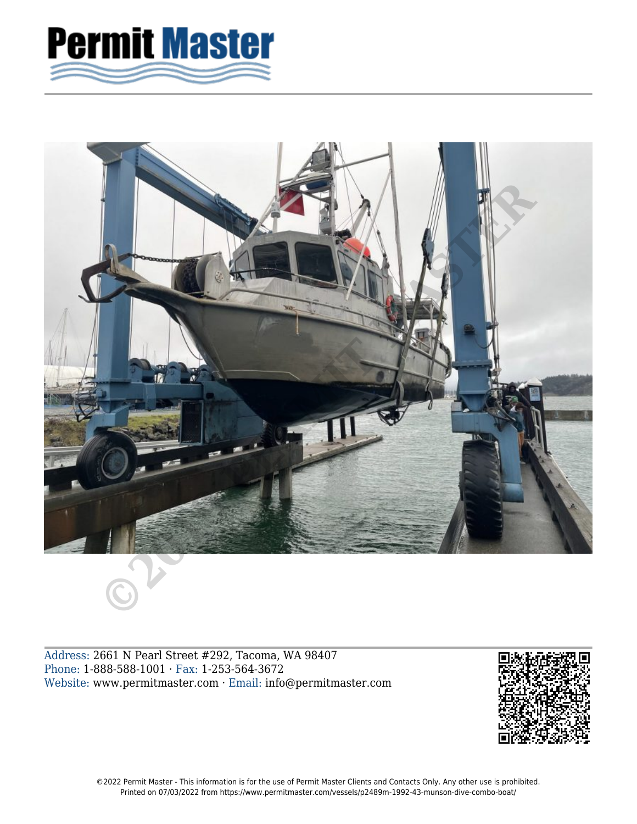



Address: 2661 N Pearl Street #292, Tacoma, WA 98407 Phone: 1-888-588-1001 · Fax: 1-253-564-3672 Website: www.permitmaster.com · Email: info@permitmaster.com